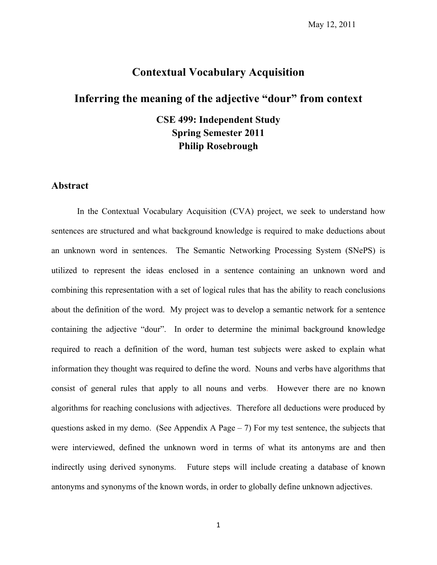#### **Contextual Vocabulary Acquisition**

#### **Inferring the meaning of the adjective "dour" from context**

**CSE 499: Independent Study Spring Semester 2011 Philip Rosebrough**

#### **Abstract**

In the Contextual Vocabulary Acquisition (CVA) project, we seek to understand how sentences are structured and what background knowledge is required to make deductions about an unknown word in sentences. The Semantic Networking Processing System (SNePS) is utilized to represent the ideas enclosed in a sentence containing an unknown word and combining this representation with a set of logical rules that has the ability to reach conclusions about the definition of the word. My project was to develop a semantic network for a sentence containing the adjective "dour". In order to determine the minimal background knowledge required to reach a definition of the word, human test subjects were asked to explain what information they thought was required to define the word. Nouns and verbs have algorithms that consist of general rules that apply to all nouns and verbs. However there are no known algorithms for reaching conclusions with adjectives. Therefore all deductions were produced by questions asked in my demo. (See Appendix A Page  $-7$ ) For my test sentence, the subjects that were interviewed, defined the unknown word in terms of what its antonyms are and then indirectly using derived synonyms. Future steps will include creating a database of known antonyms and synonyms of the known words, in order to globally define unknown adjectives.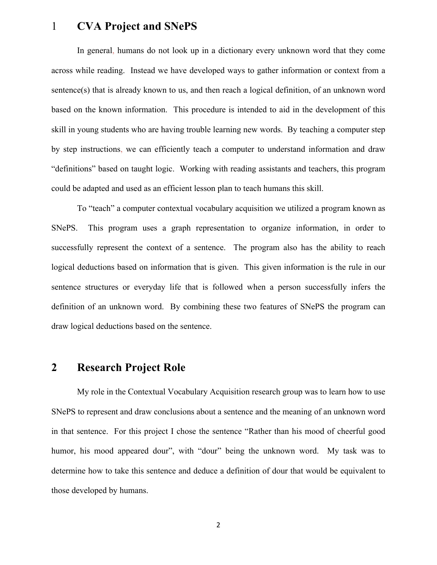### 1 **CVA Project and SNePS**

In general, humans do not look up in a dictionary every unknown word that they come across while reading. Instead we have developed ways to gather information or context from a sentence(s) that is already known to us, and then reach a logical definition, of an unknown word based on the known information. This procedure is intended to aid in the development of this skill in young students who are having trouble learning new words. By teaching a computer step by step instructions, we can efficiently teach a computer to understand information and draw "definitions" based on taught logic. Working with reading assistants and teachers, this program could be adapted and used as an efficient lesson plan to teach humans this skill.

To "teach" a computer contextual vocabulary acquisition we utilized a program known as SNePS. This program uses a graph representation to organize information, in order to successfully represent the context of a sentence. The program also has the ability to reach logical deductions based on information that is given. This given information is the rule in our sentence structures or everyday life that is followed when a person successfully infers the definition of an unknown word. By combining these two features of SNePS the program can draw logical deductions based on the sentence.

#### **2 Research Project Role**

My role in the Contextual Vocabulary Acquisition research group was to learn how to use SNePS to represent and draw conclusions about a sentence and the meaning of an unknown word in that sentence. For this project I chose the sentence "Rather than his mood of cheerful good humor, his mood appeared dour", with "dour" being the unknown word. My task was to determine how to take this sentence and deduce a definition of dour that would be equivalent to those developed by humans.

2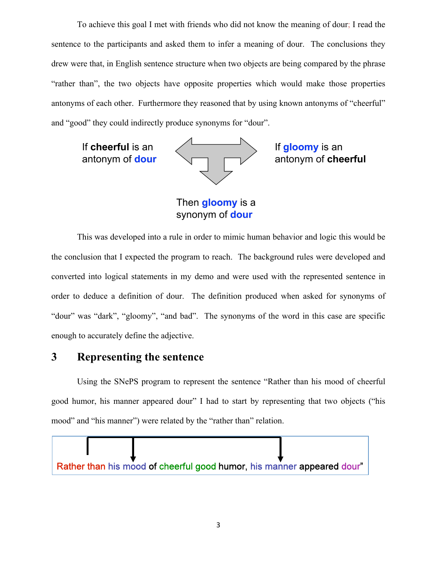To achieve this goal I met with friends who did not know the meaning of dour; I read the sentence to the participants and asked them to infer a meaning of dour. The conclusions they drew were that, in English sentence structure when two objects are being compared by the phrase "rather than", the two objects have opposite properties which would make those properties antonyms of each other. Furthermore they reasoned that by using known antonyms of "cheerful" and "good" they could indirectly produce synonyms for "dour".

If cheerful is an antonym of dour



If **gloomy** is an antonym of cheerful

Then **gloomy** is a synonym of **dour** 

This was developed into a rule in order to mimic human behavior and logic this would be the conclusion that I expected the program to reach. The background rules were developed and converted into logical statements in my demo and were used with the represented sentence in order to deduce a definition of dour. The definition produced when asked for synonyms of "dour" was "dark", "gloomy", "and bad". The synonyms of the word in this case are specific enough to accurately define the adjective.

#### **3 Representing the sentence**

Using the SNePS program to represent the sentence "Rather than his mood of cheerful good humor, his manner appeared dour" I had to start by representing that two objects ("his mood" and "his manner") were related by the "rather than" relation.

Rather than his mood of cheerful good humor, his manner appeared dour"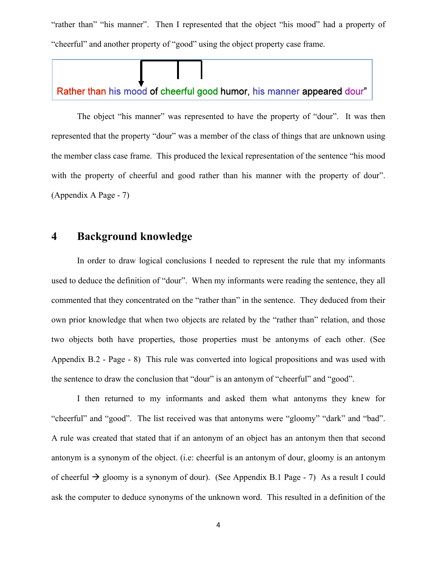"rather than" "his manner". Then I represented that the object "his mood" had a property of "cheerful" and another property of "good" using the object property case frame.

#### Rather than his mood of cheerful good humor, his manner appeared dour"

The object "his manner" was represented to have the property of "dour". It was then represented that the property "dour" was a member of the class of things that are unknown using the member class case frame. This produced the lexical representation of the sentence "his mood with the property of cheerful and good rather than his manner with the property of dour". (Appendix A Page - 7)

### **4 Background knowledge**

In order to draw logical conclusions I needed to represent the rule that my informants used to deduce the definition of "dour". When my informants were reading the sentence, they all commented that they concentrated on the "rather than" in the sentence. They deduced from their own prior knowledge that when two objects are related by the "rather than" relation, and those two objects both have properties, those properties must be antonyms of each other. (See Appendix B.2 - Page - 8) This rule was converted into logical propositions and was used with the sentence to draw the conclusion that "dour" is an antonym of "cheerful" and "good".

I then returned to my informants and asked them what antonyms they knew for "cheerful" and "good". The list received was that antonyms were "gloomy" "dark" and "bad". A rule was created that stated that if an antonym of an object has an antonym then that second antonym is a synonym of the object. (i.e: cheerful is an antonym of dour, gloomy is an antonym of cheerful  $\rightarrow$  gloomy is a synonym of dour). (See Appendix B.1 Page - 7) As a result I could ask the computer to deduce synonyms of the unknown word. This resulted in a definition of the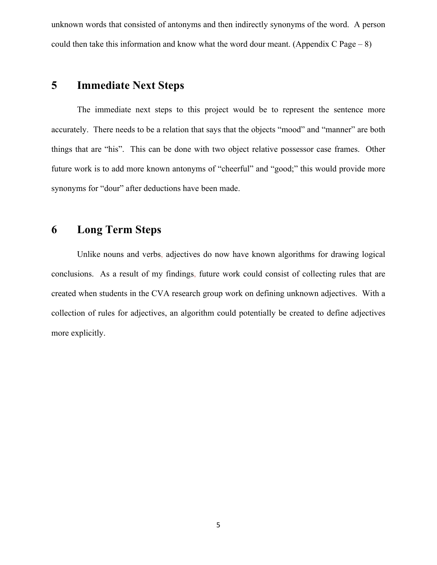unknown words that consisted of antonyms and then indirectly synonyms of the word. A person could then take this information and know what the word dour meant. (Appendix C Page  $-8$ )

### **5 Immediate Next Steps**

The immediate next steps to this project would be to represent the sentence more accurately. There needs to be a relation that says that the objects "mood" and "manner" are both things that are "his". This can be done with two object relative possessor case frames. Other future work is to add more known antonyms of "cheerful" and "good;" this would provide more synonyms for "dour" after deductions have been made.

#### **6 Long Term Steps**

Unlike nouns and verbs, adjectives do now have known algorithms for drawing logical conclusions. As a result of my findings, future work could consist of collecting rules that are created when students in the CVA research group work on defining unknown adjectives. With a collection of rules for adjectives, an algorithm could potentially be created to define adjectives more explicitly.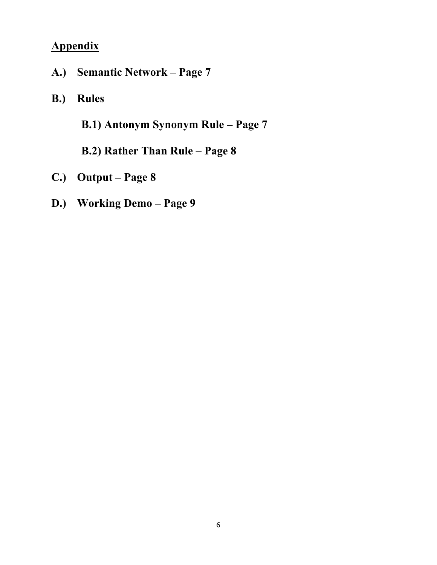# **Appendix**

- **A.) Semantic Network Page 7**
- **B.) Rules**

**B.1) Antonym Synonym Rule – Page 7**

**B.2) Rather Than Rule – Page 8**

- **C.) Output Page 8**
- **D.) Working Demo Page 9**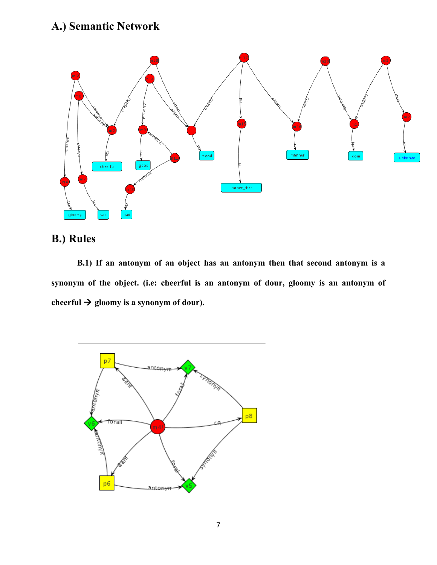# **A.) Semantic Network**



## **B.) Rules**

**B.1) If an antonym of an object has an antonym then that second antonym is a synonym of the object. (i.e: cheerful is an antonym of dour, gloomy is an antonym of**  cheerful  $\rightarrow$  gloomy is a synonym of dour).

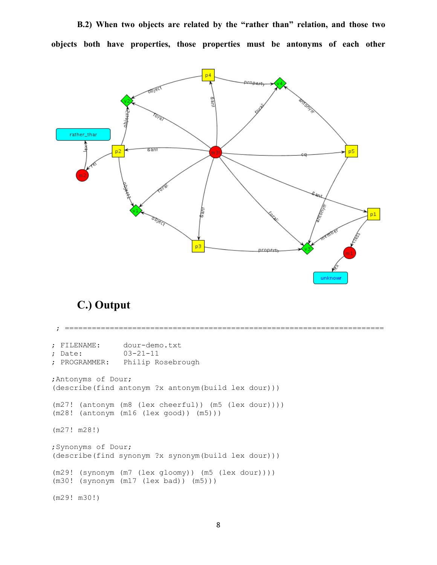**B.2) When two objects are related by the "rather than" relation, and those two objects both have properties, those properties must be antonyms of each other**



## **C.) Output**

 ; ======================================================================= ; FILENAME: dour-demo.txt ; Date: 03-21-11 ; PROGRAMMER: Philip Rosebrough ;Antonyms of Dour; (describe(find antonym ?x antonym(build lex dour))) (m27! (antonym (m8 (lex cheerful)) (m5 (lex dour)))) (m28! (antonym (m16 (lex good)) (m5))) (m27! m28!) ;Synonyms of Dour; (describe(find synonym ?x synonym(build lex dour))) (m29! (synonym (m7 (lex gloomy)) (m5 (lex dour)))) (m30! (synonym (m17 (lex bad)) (m5))) (m29! m30!)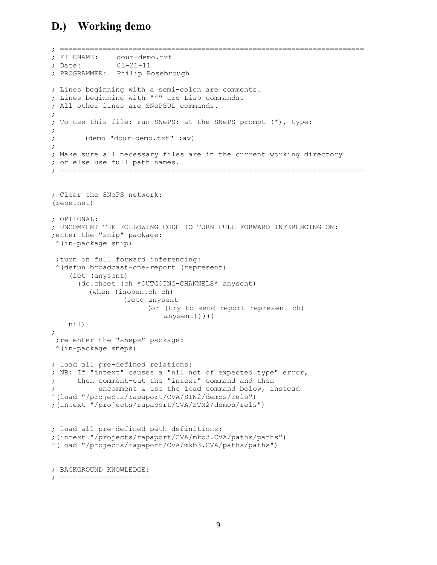### **D.) Working demo**

```
; =======================================================================
; FILENAME: dour-demo.txt
; Date: 03-21-11
; PROGRAMMER: Philip Rosebrough
; Lines beginning with a semi-colon are comments.
; Lines beginning with "^" are Lisp commands.
; All other lines are SNePSUL commands.
;
; To use this file: run SNePS; at the SNePS prompt (*), type:
;
; (demo "dour-demo.txt" :av)
;
; Make sure all necessary files are in the current working directory
; or else use full path names.
; =======================================================================
; Clear the SNePS network:
(resetnet)
; OPTIONAL:
; UNCOMMENT THE FOLLOWING CODE TO TURN FULL FORWARD INFERENCING ON:
;enter the "snip" package:
 ^(in-package snip)
  ;turn on full forward inferencing:
  ^(defun broadcast-one-report (represent)
     (let (anysent)
       (do.chset (ch *OUTGOING-CHANNELS* anysent)
          (when (isopen.ch ch)
                  (setq anysent
                       (or (try-to-send-report represent ch)
                           anysent)))))
    nil)
;
  ;re-enter the "sneps" package:
 ^(in-package sneps)
; load all pre-defined relations:
; NB: If "intext" causes a "nil not of expected type" error,
; then comment-out the "intext" command and then
          uncomment & use the load command below, instead
^(load "/projects/rapaport/CVA/STN2/demos/rels")
;(intext "/projects/rapaport/CVA/STN2/demos/rels")
; load all pre-defined path definitions:
;(intext "/projects/rapaport/CVA/mkb3.CVA/paths/paths")
^(load "/projects/rapaport/CVA/mkb3.CVA/paths/paths")
```

```
; BACKGROUND KNOWLEDGE:
```

```
; =====================
```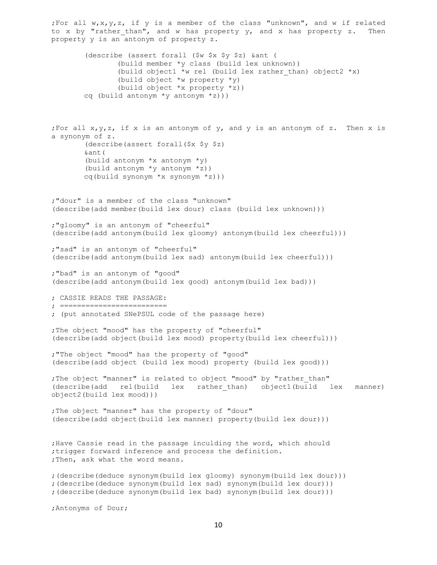;For all w,x,y,z, if y is a member of the class "unknown", and w if related to x by "rather than", and w has property y, and x has property z. Then property y is an antonym of property z. (describe (assert forall (\$w \$x \$y \$z) &ant ( (build member \*y class (build lex unknown)) (build object1 \*w rel (build lex rather than) object2 \*x) (build object \*w property \*y) (build object \*x property \*z)) cq (build antonym \*y antonym \*z))) ; For all  $x,y,z$ , if  $x$  is an antonym of  $y$ , and  $y$  is an antonym of  $z$ . Then  $x$  is a synonym of z. (describe(assert forall(\$x \$y \$z) &ant( (build antonym \*x antonym \*y) (build antonym \*y antonym \*z)) cq(build synonym \*x synonym \*z))) ;"dour" is a member of the class "unknown" (describe(add member(build lex dour) class (build lex unknown))) ;"gloomy" is an antonym of "cheerful" (describe(add antonym(build lex gloomy) antonym(build lex cheerful))) ;"sad" is an antonym of "cheerful" (describe(add antonym(build lex sad) antonym(build lex cheerful))) ;"bad" is an antonym of "good" (describe(add antonym(build lex good) antonym(build lex bad))) ; CASSIE READS THE PASSAGE: ; ========================= ; (put annotated SNePSUL code of the passage here) ;The object "mood" has the property of "cheerful" (describe(add object(build lex mood) property(build lex cheerful))) ;"The object "mood" has the property of "good" (describe(add object (build lex mood) property (build lex good))) ;The object "manner" is related to object "mood" by "rather than" (describe(add rel(build lex rather\_than) object1(build lex manner) object2(build lex mood))) ;The object "manner" has the property of "dour" (describe(add object(build lex manner) property(build lex dour))) ;Have Cassie read in the passage inculding the word, which should ;trigger forward inference and process the definition. ; Then, ask what the word means. ;(describe(deduce synonym(build lex gloomy) synonym(build lex dour))) ;(describe(deduce synonym(build lex sad) synonym(build lex dour))) ;(describe(deduce synonym(build lex bad) synonym(build lex dour))) ;Antonyms of Dour;